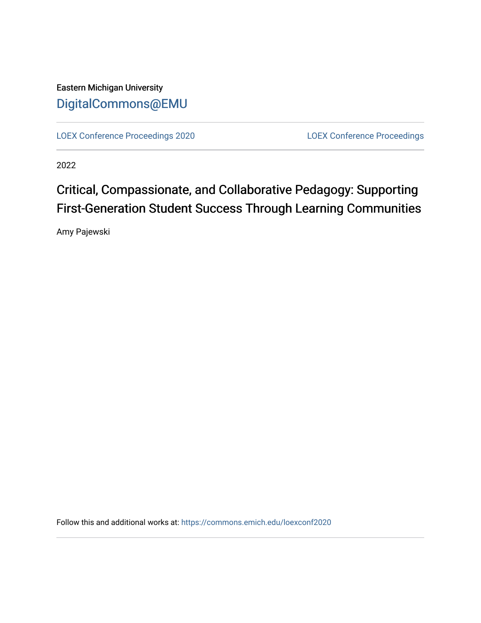Eastern Michigan University [DigitalCommons@EMU](https://commons.emich.edu/) 

[LOEX Conference Proceedings 2020](https://commons.emich.edu/loexconf2020) [LOEX Conference Proceedings](https://commons.emich.edu/loexconf) 

2022

# Critical, Compassionate, and Collaborative Pedagogy: Supporting First-Generation Student Success Through Learning Communities

Amy Pajewski

Follow this and additional works at: [https://commons.emich.edu/loexconf2020](https://commons.emich.edu/loexconf2020?utm_source=commons.emich.edu%2Floexconf2020%2F5&utm_medium=PDF&utm_campaign=PDFCoverPages)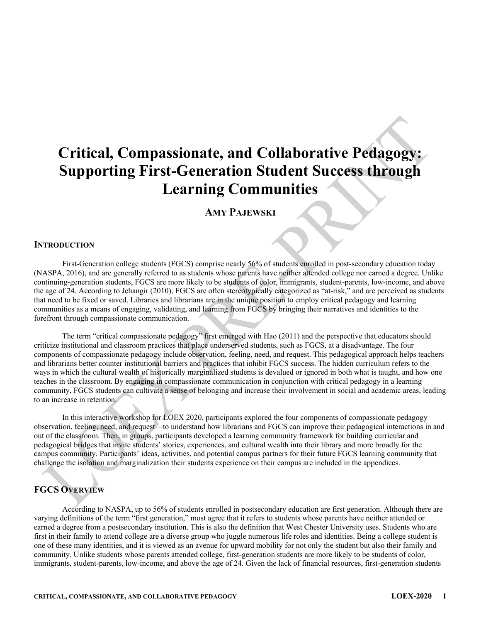# **Critical, Compassionate, and Collaborative Pedagogy: Supporting First-Generation Student Success through Learning Communities**

# **AMY PAJEWSKI**

#### **INTRODUCTION**

First-Generation college students (FGCS) comprise nearly 56% of students enrolled in post-secondary education today (NASPA, 2016), and are generally referred to as students whose parents have neither attended college nor earned a degree. Unlike continuing-generation students, FGCS are more likely to be students of color, immigrants, student-parents, low-income, and above the age of 24. According to Jehangir (2010), FGCS are often stereotypically categorized as "at-risk," and are perceived as students that need to be fixed or saved. Libraries and librarians are in the unique position to employ critical pedagogy and learning communities as a means of engaging, validating, and learning from FGCS by bringing their narratives and identities to the forefront through compassionate communication.

The term "critical compassionate pedagogy" first emerged with Hao (2011) and the perspective that educators should criticize institutional and classroom practices that place underserved students, such as FGCS, at a disadvantage. The four components of compassionate pedagogy include observation, feeling, need, and request. This pedagogical approach helps teachers and librarians better counter institutional barriers and practices that inhibit FGCS success. The hidden curriculum refers to the ways in which the cultural wealth of historically marginalized students is devalued or ignored in both what is taught, and how one teaches in the classroom. By engaging in compassionate communication in conjunction with critical pedagogy in a learning community, FGCS students can cultivate a sense of belonging and increase their involvement in social and academic areas, leading to an increase in retention.

In this interactive workshop for LOEX 2020, participants explored the four components of compassionate pedagogy observation, feeling, need, and request—to understand how librarians and FGCS can improve their pedagogical interactions in and out of the classroom. Then, in groups, participants developed a learning community framework for building curricular and pedagogical bridges that invite students' stories, experiences, and cultural wealth into their library and more broadly for the campus community. Participants' ideas, activities, and potential campus partners for their future FGCS learning community that challenge the isolation and marginalization their students experience on their campus are included in the appendices.

# **FGCS OVERVIEW**

According to NASPA, up to 56% of students enrolled in postsecondary education are first generation. Although there are varying definitions of the term "first generation," most agree that it refers to students whose parents have neither attended or earned a degree from a postsecondary institution. This is also the definition that West Chester University uses. Students who are first in their family to attend college are a diverse group who juggle numerous life roles and identities. Being a college student is one of these many identities, and it is viewed as an avenue for upward mobility for not only the student but also their family and community. Unlike students whose parents attended college, first-generation students are more likely to be students of color, immigrants, student-parents, low-income, and above the age of 24. Given the lack of financial resources, first-generation students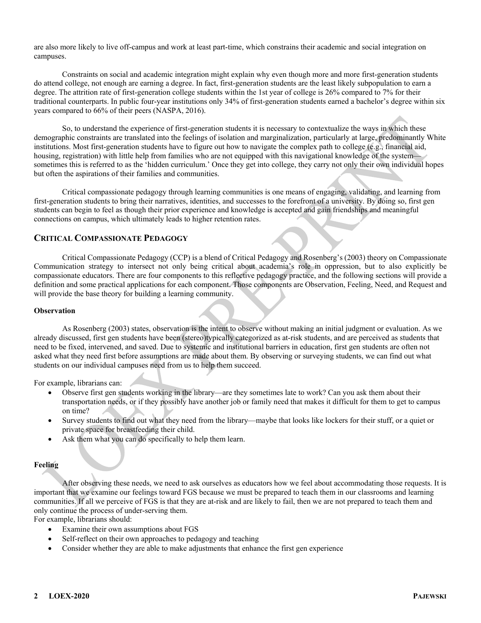are also more likely to live off-campus and work at least part-time, which constrains their academic and social integration on campuses.

Constraints on social and academic integration might explain why even though more and more first-generation students do attend college, not enough are earning a degree. In fact, first-generation students are the least likely subpopulation to earn a degree. The attrition rate of first-generation college students within the 1st year of college is 26% compared to 7% for their traditional counterparts. In public four-year institutions only 34% of first-generation students earned a bachelor's degree within six years compared to 66% of their peers (NASPA, 2016).

So, to understand the experience of first-generation students it is necessary to contextualize the ways in which these demographic constraints are translated into the feelings of isolation and marginalization, particularly at large, predominantly White institutions. Most first-generation students have to figure out how to navigate the complex path to college (e.g., financial aid, housing, registration) with little help from families who are not equipped with this navigational knowledge of the system sometimes this is referred to as the 'hidden curriculum.' Once they get into college, they carry not only their own individual hopes but often the aspirations of their families and communities.

Critical compassionate pedagogy through learning communities is one means of engaging, validating, and learning from first-generation students to bring their narratives, identities, and successes to the forefront of a university. By doing so, first gen students can begin to feel as though their prior experience and knowledge is accepted and gain friendships and meaningful connections on campus, which ultimately leads to higher retention rates.

#### **CRITICAL COMPASSIONATE PEDAGOGY**

Critical Compassionate Pedagogy (CCP) is a blend of Critical Pedagogy and Rosenberg's (2003) theory on Compassionate Communication strategy to intersect not only being critical about academia's role in oppression, but to also explicitly be compassionate educators. There are four components to this reflective pedagogy practice, and the following sections will provide a definition and some practical applications for each component. Those components are Observation, Feeling, Need, and Request and will provide the base theory for building a learning community.

#### **Observation**

As Rosenberg (2003) states, observation is the intent to observe without making an initial judgment or evaluation. As we already discussed, first gen students have been (stereo)typically categorized as at-risk students, and are perceived as students that need to be fixed, intervened, and saved. Due to systemic and institutional barriers in education, first gen students are often not asked what they need first before assumptions are made about them. By observing or surveying students, we can find out what students on our individual campuses need from us to help them succeed.

For example, librarians can:

- Observe first gen students working in the library—are they sometimes late to work? Can you ask them about their transportation needs, or if they possibly have another job or family need that makes it difficult for them to get to campus on time?
- Survey students to find out what they need from the library—maybe that looks like lockers for their stuff, or a quiet or private space for breastfeeding their child.
- Ask them what you can do specifically to help them learn.

#### **Feeling**

After observing these needs, we need to ask ourselves as educators how we feel about accommodating those requests. It is important that we examine our feelings toward FGS because we must be prepared to teach them in our classrooms and learning communities. If all we perceive of FGS is that they are at-risk and are likely to fail, then we are not prepared to teach them and only continue the process of under-serving them.

For example, librarians should:

- Examine their own assumptions about FGS
- Self-reflect on their own approaches to pedagogy and teaching
- Consider whether they are able to make adjustments that enhance the first gen experience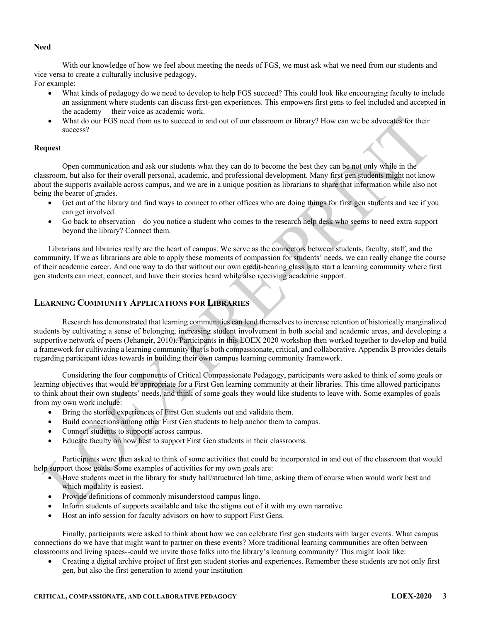#### **Need**

With our knowledge of how we feel about meeting the needs of FGS, we must ask what we need from our students and vice versa to create a culturally inclusive pedagogy.

For example:

- What kinds of pedagogy do we need to develop to help FGS succeed? This could look like encouraging faculty to include an assignment where students can discuss first-gen experiences. This empowers first gens to feel included and accepted in the academy— their voice as academic work.
- What do our FGS need from us to succeed in and out of our classroom or library? How can we be advocates for their success?

#### **Request**

Open communication and ask our students what they can do to become the best they can be not only while in the classroom, but also for their overall personal, academic, and professional development. Many first gen students might not know about the supports available across campus, and we are in a unique position as librarians to share that information while also not being the bearer of grades.

- Get out of the library and find ways to connect to other offices who are doing things for first gen students and see if you can get involved.
- Go back to observation—do you notice a student who comes to the research help desk who seems to need extra support beyond the library? Connect them.

Librarians and libraries really are the heart of campus. We serve as the connectors between students, faculty, staff, and the community. If we as librarians are able to apply these moments of compassion for students' needs, we can really change the course of their academic career. And one way to do that without our own credit-bearing class is to start a learning community where first gen students can meet, connect, and have their stories heard while also receiving academic support.

## **LEARNING COMMUNITY APPLICATIONS FOR LIBRARIES**

Research has demonstrated that learning communities can lend themselves to increase retention of historically marginalized students by cultivating a sense of belonging, increasing student involvement in both social and academic areas, and developing a supportive network of peers (Jehangir, 2010). Participants in this LOEX 2020 workshop then worked together to develop and build a framework for cultivating a learning community that is both compassionate, critical, and collaborative. Appendix B provides details regarding participant ideas towards in building their own campus learning community framework.

Considering the four components of Critical Compassionate Pedagogy, participants were asked to think of some goals or learning objectives that would be appropriate for a First Gen learning community at their libraries. This time allowed participants to think about their own students' needs, and think of some goals they would like students to leave with. Some examples of goals from my own work include:

- Bring the storied experiences of First Gen students out and validate them.
- Build connections among other First Gen students to help anchor them to campus.
- Connect students to supports across campus.
- Educate faculty on how best to support First Gen students in their classrooms.

Participants were then asked to think of some activities that could be incorporated in and out of the classroom that would help support those goals. Some examples of activities for my own goals are:

- Have students meet in the library for study hall/structured lab time, asking them of course when would work best and which modality is easiest.
- Provide definitions of commonly misunderstood campus lingo.
- Inform students of supports available and take the stigma out of it with my own narrative.
- Host an info session for faculty advisors on how to support First Gens.

Finally, participants were asked to think about how we can celebrate first gen students with larger events. What campus connections do we have that might want to partner on these events? More traditional learning communities are often between classrooms and living spaces--could we invite those folks into the library's learning community? This might look like:

• Creating a digital archive project of first gen student stories and experiences. Remember these students are not only first gen, but also the first generation to attend your institution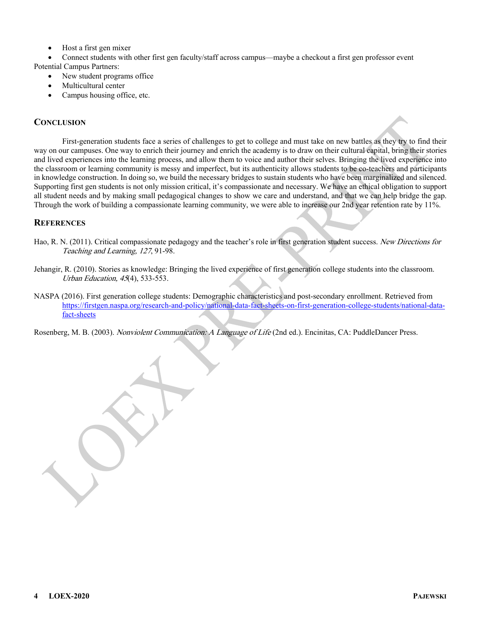• Host a first gen mixer

• Connect students with other first gen faculty/staff across campus—maybe a checkout a first gen professor event Potential Campus Partners:

- New student programs office
- Multicultural center
- Campus housing office, etc.

### **CONCLUSION**

First-generation students face a series of challenges to get to college and must take on new battles as they try to find their way on our campuses. One way to enrich their journey and enrich the academy is to draw on their cultural capital, bring their stories and lived experiences into the learning process, and allow them to voice and author their selves. Bringing the lived experience into the classroom or learning community is messy and imperfect, but its authenticity allows students to be co-teachers and participants in knowledge construction. In doing so, we build the necessary bridges to sustain students who have been marginalized and silenced. Supporting first gen students is not only mission critical, it's compassionate and necessary. We have an ethical obligation to support all student needs and by making small pedagogical changes to show we care and understand, and that we can help bridge the gap. Through the work of building a compassionate learning community, we were able to increase our 2nd year retention rate by 11%.

## **REFERENCES**

- Hao, R. N. (2011). Critical compassionate pedagogy and the teacher's role in first generation student success. New Directions for Teaching and Learning, 127, 91-98.
- Jehangir, R. (2010). Stories as knowledge: Bringing the lived experience of first generation college students into the classroom. Urban Education, 45(4), 533-553.
- NASPA (2016). First generation college students: Demographic characteristics and post-secondary enrollment. Retrieved from [https://firstgen.naspa.org/research-and-policy/national-data-fact-sheets-on-first-generation-college-students/national-data](https://firstgen.naspa.org/research-and-policy/national-data-fact-sheets-on-first-generation-college-students/national-data-fact-sheets)[fact-sheets](https://firstgen.naspa.org/research-and-policy/national-data-fact-sheets-on-first-generation-college-students/national-data-fact-sheets)

Rosenberg, M. B. (2003). Nonviolent Communication: A Language of Life (2nd ed.). Encinitas, CA: PuddleDancer Press.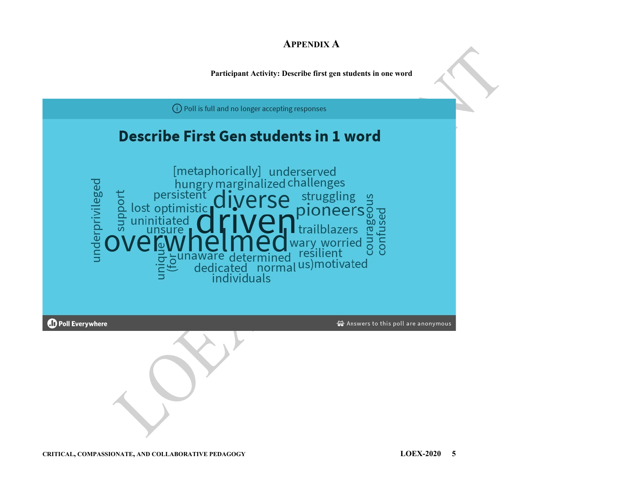# **APPENDIX A**

**Participant Activity: Describe first gen students in one word**

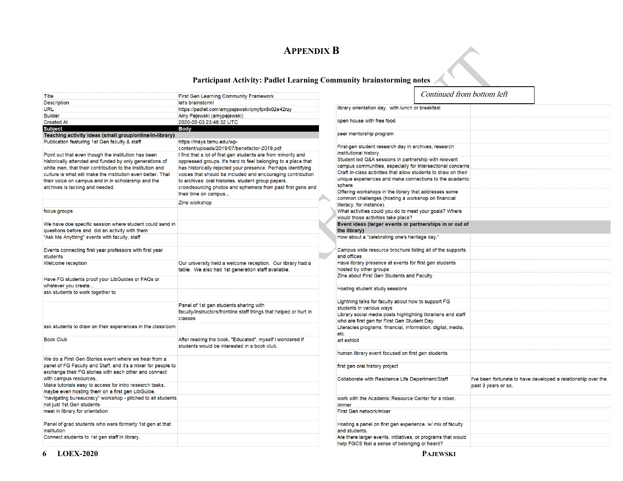# **APPENDIX B**

## **Participant Activity: Padlet Learning Community brainstorming notes**

|                                                                                                                          |                                                                                                                  |  |                                                                                                                     | Continued from bottom left |                     |                                                               |
|--------------------------------------------------------------------------------------------------------------------------|------------------------------------------------------------------------------------------------------------------|--|---------------------------------------------------------------------------------------------------------------------|----------------------------|---------------------|---------------------------------------------------------------|
| Title                                                                                                                    | <b>First Gen Learning Community Framework</b>                                                                    |  |                                                                                                                     |                            |                     |                                                               |
| <b>Description</b>                                                                                                       | let's brainstorm!                                                                                                |  | library orientation day, with lunch or breakfast                                                                    |                            |                     |                                                               |
| URL                                                                                                                      | https://padlet.com/amypajewski/qmyfpx8x02e42rzy                                                                  |  |                                                                                                                     |                            |                     |                                                               |
| <b>Builder</b>                                                                                                           | Amy Pajewski (amypajewski)                                                                                       |  | open house with free food                                                                                           |                            |                     |                                                               |
| <b>Created At</b><br><b>Subject</b>                                                                                      | 2020-05-03 23:48:32 UTC                                                                                          |  |                                                                                                                     |                            |                     |                                                               |
|                                                                                                                          | <b>Body</b>                                                                                                      |  | peer mentorship program                                                                                             |                            |                     |                                                               |
| Teaching activity ideas (small group/online/in-library)                                                                  |                                                                                                                  |  |                                                                                                                     |                            |                     |                                                               |
| Publication featuring 1st Gen faculty & staff                                                                            | https://mays.tamu.edu/wp-<br>content/uploads/2019/07/benefactor-2019.pdf                                         |  | First-gen student research day in archives; research                                                                |                            |                     |                                                               |
|                                                                                                                          |                                                                                                                  |  | institutional history.                                                                                              |                            |                     |                                                               |
| Point out that even though the institution has been                                                                      | I find that a lot of first gen students are from minority and                                                    |  | Student led Q&A sessions in partnership with relevant<br>campus communities, especially for intersectional concerns |                            |                     |                                                               |
| historically attended and funded by only generations of                                                                  | oppressed groups. It's hard to feel belonging to a place that                                                    |  |                                                                                                                     |                            |                     |                                                               |
| white men, that their contribution to the institution and<br>culture is what will make the institution even better. That | has historically rejected your presence. Perhaps identifying                                                     |  | Craft in-class activities that allow students to draw on their                                                      |                            |                     |                                                               |
|                                                                                                                          | voices that should be included and encouraging contribution                                                      |  | unique experiences and make connections to the academic                                                             |                            |                     |                                                               |
| their voice on campus and in in scholarship and the                                                                      | to archives: oral histories, student group papers,<br>crowdsourcing photos and ephemera from past first gens and |  | sphere.                                                                                                             |                            |                     |                                                               |
| archives is lacking and needed.                                                                                          |                                                                                                                  |  | Offering workshops in the library that addresses some                                                               |                            |                     |                                                               |
|                                                                                                                          | their time on campus                                                                                             |  | common challenges (hosting a workshop on financial                                                                  |                            |                     |                                                               |
|                                                                                                                          | Zine workshop                                                                                                    |  | literacy, for instance).                                                                                            |                            |                     |                                                               |
| focus groups                                                                                                             |                                                                                                                  |  | What activities could you do to meet your goals? Where                                                              |                            |                     |                                                               |
|                                                                                                                          |                                                                                                                  |  | would those activities take place?                                                                                  |                            |                     |                                                               |
| We have doe specific session where student could send in                                                                 |                                                                                                                  |  | Event ideas (larger events or partnerships in or out of                                                             |                            |                     |                                                               |
| questions before and did an activity with them                                                                           |                                                                                                                  |  | the library)                                                                                                        |                            |                     |                                                               |
| "Ask Me Anything" events with faculty, staff                                                                             |                                                                                                                  |  | How about a "celebrating one's heritage day."                                                                       |                            |                     |                                                               |
|                                                                                                                          |                                                                                                                  |  |                                                                                                                     |                            |                     |                                                               |
| Events connecting first year professors with first year                                                                  |                                                                                                                  |  | Campus wide resource brochure listing all of the supports                                                           |                            |                     |                                                               |
| students                                                                                                                 |                                                                                                                  |  | and offices                                                                                                         |                            |                     |                                                               |
| Welcome reception                                                                                                        | Our university held a welcome reception. Our library had a                                                       |  | Have library presence at events for first gen students                                                              |                            |                     |                                                               |
|                                                                                                                          | table. We also had 1st generation staff available.                                                               |  | hosted by other groups                                                                                              |                            |                     |                                                               |
| Have FG students proof your LibGuides or FAQs or                                                                         |                                                                                                                  |  | Zine about First Gen Students and Faculty                                                                           |                            |                     |                                                               |
| whatever you create                                                                                                      |                                                                                                                  |  |                                                                                                                     |                            |                     |                                                               |
| ask students to work together to                                                                                         |                                                                                                                  |  | Hosting student study sessions                                                                                      |                            |                     |                                                               |
|                                                                                                                          |                                                                                                                  |  |                                                                                                                     |                            |                     |                                                               |
|                                                                                                                          | Panel of 1st gen students sharing with                                                                           |  | Lightning talks for faculty about how to support FG                                                                 |                            |                     |                                                               |
|                                                                                                                          | faculty/instructors/frontline staff things that helped or hurt in                                                |  | students in various ways                                                                                            |                            |                     |                                                               |
|                                                                                                                          | classes                                                                                                          |  | Library social media posts highlighting librarians and staff                                                        |                            |                     |                                                               |
|                                                                                                                          |                                                                                                                  |  | who are first gen for First Gen Student Day.                                                                        |                            |                     |                                                               |
| ask students to draw on their experiences in the classroom                                                               |                                                                                                                  |  | Literacies programs: financial, information, digital, media,                                                        |                            |                     |                                                               |
|                                                                                                                          |                                                                                                                  |  | etc.                                                                                                                |                            |                     |                                                               |
| <b>Book Club</b>                                                                                                         | After reading the book, "Educated", myself I wondered if<br>students would be interested in a book club.         |  | art exhibit                                                                                                         |                            |                     |                                                               |
|                                                                                                                          |                                                                                                                  |  |                                                                                                                     |                            |                     |                                                               |
| We do a First Gen Stories event where we hear from a                                                                     |                                                                                                                  |  | human library event focused on first gen students                                                                   |                            |                     |                                                               |
|                                                                                                                          |                                                                                                                  |  |                                                                                                                     |                            |                     |                                                               |
| panel of FG Faculty and Staff, and it's a mixer for people to<br>exchange their FG stories with each other and connect   |                                                                                                                  |  | first gen oral history project                                                                                      |                            |                     |                                                               |
|                                                                                                                          |                                                                                                                  |  |                                                                                                                     |                            |                     |                                                               |
| with campus resources.<br>Make tutorials easy to access for intro research tasks,                                        |                                                                                                                  |  | Collaborate with Residence Life Department/Staff                                                                    |                            |                     | I've been fortunate to have developed a relationship over the |
| maybe even hosting them on a first gen LibGuide.                                                                         |                                                                                                                  |  |                                                                                                                     |                            | past 3 years or so. |                                                               |
| "navigating bureaucracy" workshop - pitched to all students                                                              |                                                                                                                  |  | work with the Academic Resource Center for a mixer.                                                                 |                            |                     |                                                               |
| not just 1st Gen students                                                                                                |                                                                                                                  |  |                                                                                                                     |                            |                     |                                                               |
| meet in library for orientation                                                                                          |                                                                                                                  |  | dinner<br>First Gen network/mixer                                                                                   |                            |                     |                                                               |
|                                                                                                                          |                                                                                                                  |  |                                                                                                                     |                            |                     |                                                               |
| Panel of grad students who were formerly 1st gen at that                                                                 |                                                                                                                  |  | Hosting a panel on first gen experience, w/ mix of faculty                                                          |                            |                     |                                                               |
| institution                                                                                                              |                                                                                                                  |  | and students.                                                                                                       |                            |                     |                                                               |
| Connect students to 1st gen staff in library.                                                                            |                                                                                                                  |  | Are there larger events, initiatives, or programs that would                                                        |                            |                     |                                                               |
|                                                                                                                          |                                                                                                                  |  | help FGCS feel a sense of belonging or heard?                                                                       |                            |                     |                                                               |
|                                                                                                                          |                                                                                                                  |  |                                                                                                                     |                            |                     |                                                               |